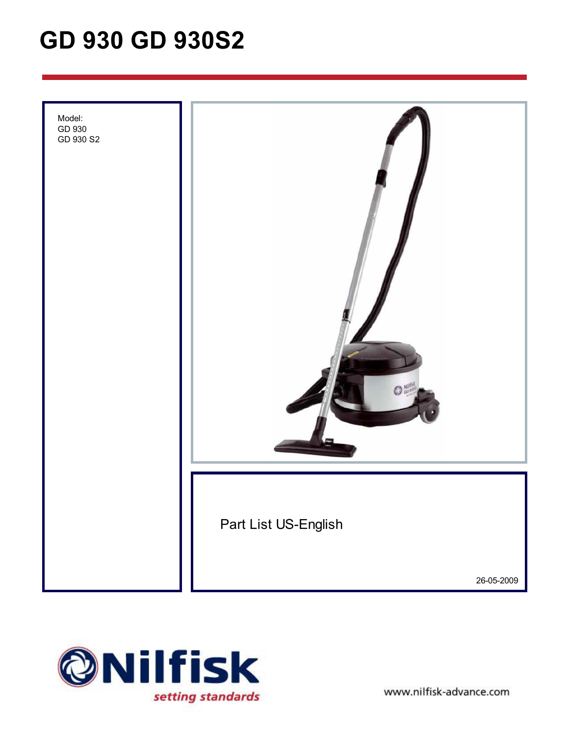# **GD 930 GD 930S2**





www.nilfisk-advance.com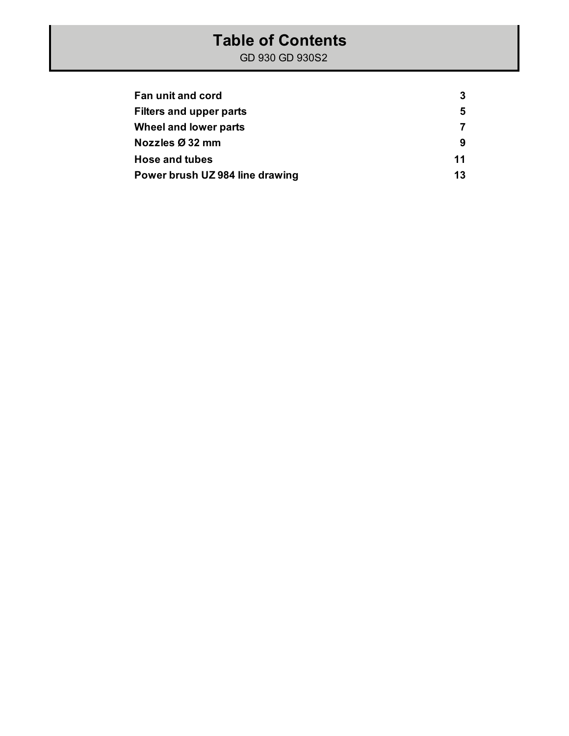#### **Table of Contents**

| Fan unit and cord               | 3  |
|---------------------------------|----|
| <b>Filters and upper parts</b>  | 5  |
| Wheel and lower parts           |    |
| Nozzles Ø 32 mm                 | 9  |
| <b>Hose and tubes</b>           | 11 |
| Power brush UZ 984 line drawing | 13 |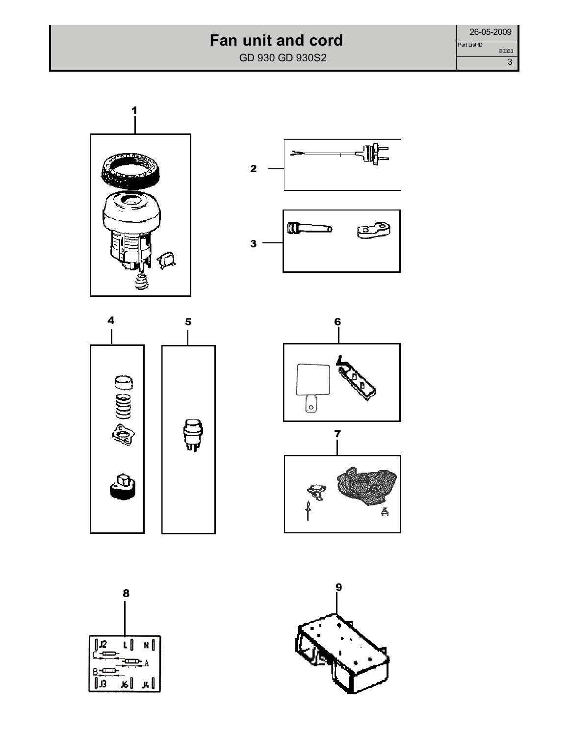### **Fan unit and cord**

GD 930 GD 930S2













8 ιl J2 N Œ ا پر ا بر В

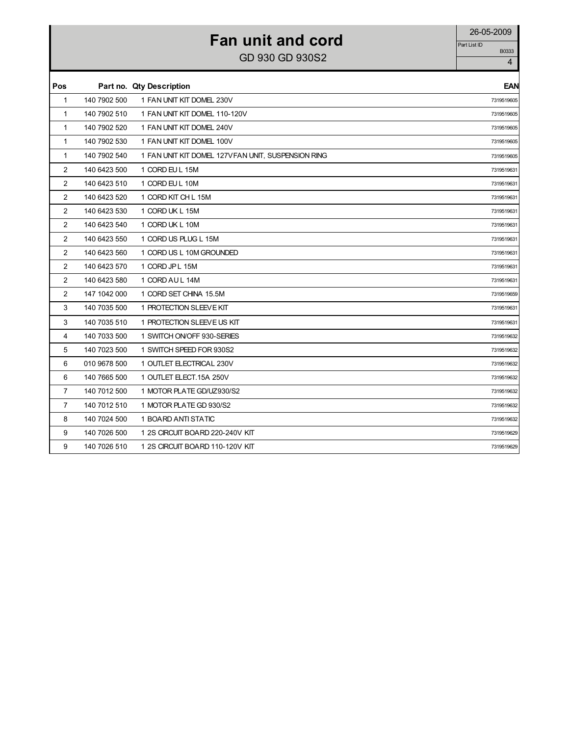## **Fan unit and cord** 26-05-2009

GD 930 GD 930S2  $\frac{1}{4}$ 

| Pos            |              | Part no. Qty Description                            | EAN        |
|----------------|--------------|-----------------------------------------------------|------------|
| 1              | 140 7902 500 | 1 FAN UNIT KIT DOMEL 230V                           | 7319519605 |
| $\mathbf{1}$   | 140 7902 510 | 1 FAN UNIT KIT DOMEL 110-120V                       | 7319519605 |
| 1              | 140 7902 520 | 1 FAN UNIT KIT DOMEL 240V                           | 7319519605 |
| $\mathbf{1}$   | 140 7902 530 | 1 FAN UNIT KIT DOMEL 100V                           | 7319519605 |
| 1              | 140 7902 540 | 1 FAN UNIT KIT DOMEL 127V FAN UNIT, SUSPENSION RING | 7319519605 |
| 2              | 140 6423 500 | 1 CORD EU L 15M                                     | 7319519631 |
| $\overline{2}$ | 140 6423 510 | 1 CORD EU L 10M                                     | 7319519631 |
| 2              | 140 6423 520 | 1 CORD KIT CH L 15M                                 | 7319519631 |
| 2              | 140 6423 530 | 1 CORD UK L 15M                                     | 7319519631 |
| 2              | 140 6423 540 | 1 CORD UK L 10M                                     | 7319519631 |
| 2              | 140 6423 550 | 1 CORD US PLUG L 15M                                | 7319519631 |
| 2              | 140 6423 560 | 1 CORD US L 10M GROUNDED                            | 7319519631 |
| 2              | 140 6423 570 | 1 CORD JP L 15M                                     | 7319519631 |
| 2              | 140 6423 580 | 1 CORD AUL 14M                                      | 7319519631 |
| 2              | 147 1042 000 | 1 CORD SET CHINA 15.5M                              | 7319519659 |
| 3              | 140 7035 500 | 1 PROTECTION SLEEVE KIT                             | 7319519631 |
| 3              | 140 7035 510 | 1 PROTECTION SLEEVE US KIT                          | 7319519631 |
| 4              | 140 7033 500 | 1 SWITCH ON/OFF 930-SERIES                          | 7319519632 |
| 5              | 140 7023 500 | 1 SWITCH SPEED FOR 930S2                            | 7319519632 |
| 6              | 010 9678 500 | 1 OUTLET ELECTRICAL 230V                            | 7319519632 |
| 6              | 140 7665 500 | 1 OUTLET ELECT.15A 250V                             | 7319519632 |
| $\overline{7}$ | 140 7012 500 | 1 MOTOR PLATE GD/UZ930/S2                           | 7319519632 |
| $\overline{7}$ | 140 7012 510 | 1 MOTOR PLATE GD 930/S2                             | 7319519632 |
| 8              | 140 7024 500 | 1 BOARD ANTI STATIC                                 | 7319519632 |
| 9              | 140 7026 500 | 1 2S CIRCUIT BOARD 220-240V KIT                     | 7319519629 |
| 9              | 140 7026 510 | 1 2S CIRCUIT BOARD 110-120V KIT                     | 7319519629 |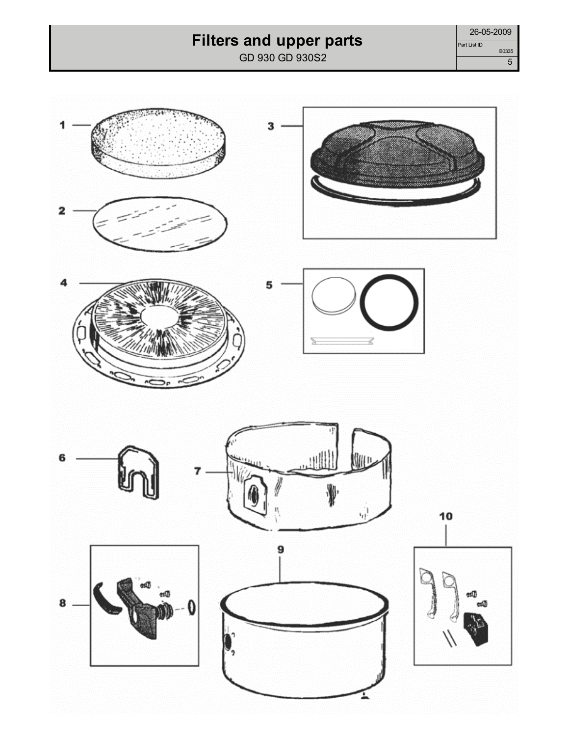## **Filters and upper parts**

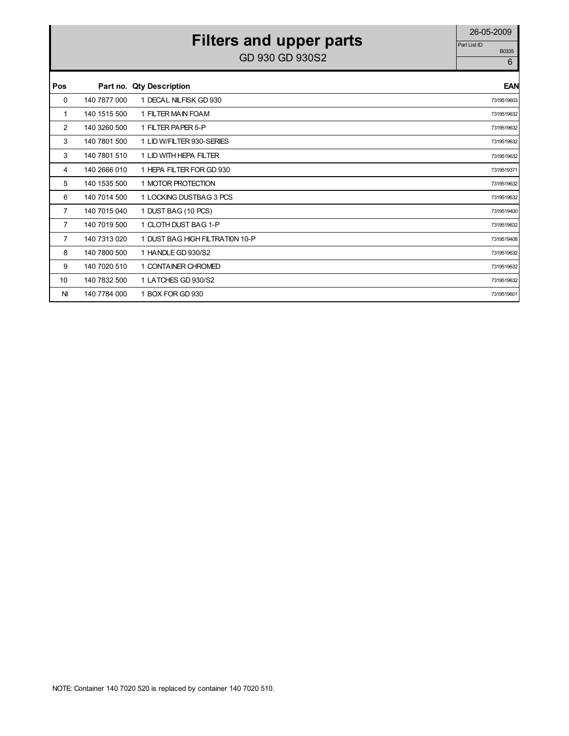# **Filters and upper parts** 26-05-2009

| Pos |              | Part no. Qty Description        | <b>EAN</b> |
|-----|--------------|---------------------------------|------------|
| 0   | 140 7877 000 | 1 DECAL NILFISK GD 930          | 7319519603 |
| 1   | 140 1515 500 | 1 FILTER MAIN FOAM              | 7319519632 |
| 2   | 140 3260 500 | 1 FILTER PAPER 5-P              | 7319519632 |
| 3   | 140 7801 500 | 1 LID W/FILTER 930-SERIES       | 7319519632 |
| 3   | 140 7801 510 | 1 LID WITH HEPA FILTER          | 7319519632 |
| 4   | 140 2666 010 | 1 HEPA FILTER FOR GD 930        | 7319519371 |
| 5   | 140 1535 500 | 1 MOTOR PROTECTION              | 7319519632 |
| 6   | 140 7014 500 | 1 LOCKING DUSTBAG 3 PCS         | 7319519632 |
| 7   | 140 7015 040 | 1 DUST BAG (10 PCS)             | 7319519400 |
| 7   | 140 7019 500 | 1 CLOTH DUST BAG 1-P            | 7319519632 |
| 7   | 140 7313 020 | 1 DUST BAG HIGH FILTRATION 10-P | 7319519408 |
| 8   | 140 7800 500 | 1 HANDLE GD 930/S2              | 7319519632 |
| 9   | 140 7020 510 | 1 CONTAINER CHROMED             | 7319519632 |
| 10  | 140 7832 500 | 1 LATCHES GD 930/S2             | 7319519632 |
| NI  | 140 7784 000 | 1 BOX FOR GD 930                | 7319519601 |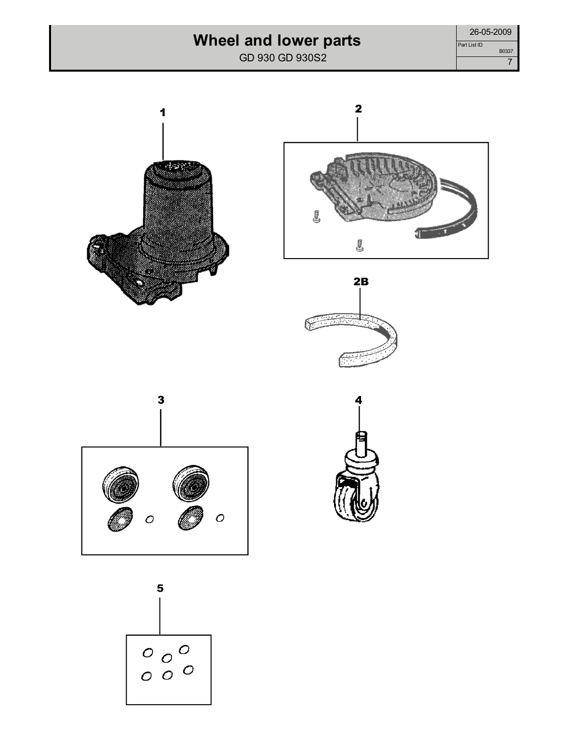## **Wheel and lower parts**

| 26-05-2009   |       |
|--------------|-------|
| Part List ID |       |
|              | B0337 |
|              |       |











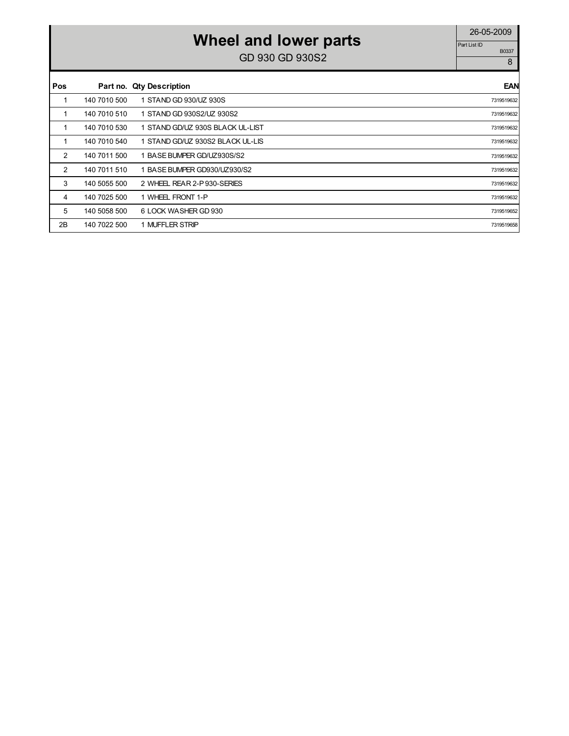# **Wheel and lower parts** 26-05-2009

| Pos |              | Part no. Qty Description         | EAN        |
|-----|--------------|----------------------------------|------------|
| 1   | 140 7010 500 | 1 STAND GD 930/UZ 930S           | 7319519632 |
| 1   | 140 7010 510 | 1 STAND GD 930S2/UZ 930S2        | 7319519632 |
| 1   | 140 7010 530 | 1 STAND GD/UZ 930S BLACK UL-LIST | 7319519632 |
| 1   | 140 7010 540 | 1 STAND GD/UZ 930S2 BLACK UL-LIS | 7319519632 |
| 2   | 140 7011 500 | BASE BUMPER GD/UZ930S/S2         | 7319519632 |
| 2   | 140 7011 510 | BASE BUMPER GD930/UZ930/S2       | 7319519632 |
| 3   | 140 5055 500 | 2 WHEEL REAR 2-P 930-SERIES      | 7319519632 |
| 4   | 140 7025 500 | 1 WHEEL FRONT 1-P                | 7319519632 |
| 5   | 140 5058 500 | 6 LOCK WASHER GD 930             | 7319519652 |
| 2B  | 140 7022 500 | 1 MUFFLER STRIP                  | 7319519658 |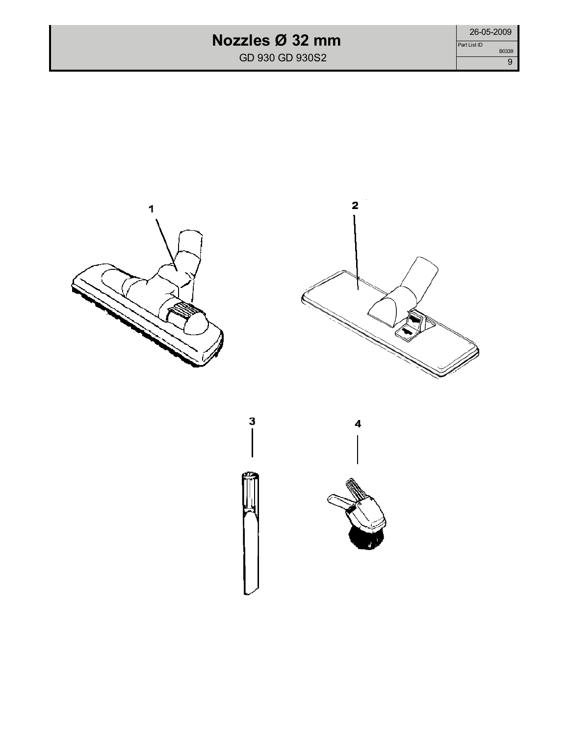#### **Nozzles Ø 32 mm**

GD 930 GD 930S2









4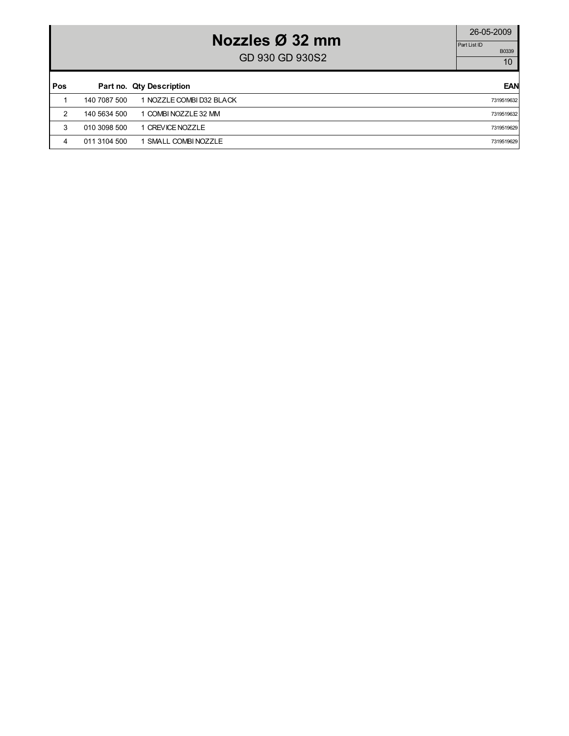## **Nozzles Ø 32 mm**

GD 930 GD 930S2  $\frac{10000}{10}$ 

| Pos |              | Part no. Qty Description | <b>EAN</b> |
|-----|--------------|--------------------------|------------|
|     | 140 7087 500 | 1 NOZZLE COMBI D32 BLACK | 7319519632 |
| 2   | 140 5634 500 | 1 COMBI NOZZLE 32 MM     | 7319519632 |
| 3   | 010 3098 500 | 1 CREVICE NOZZLE         | 7319519629 |
| 4   | 011 3104 500 | 1 SMALL COMBINOZZLE      | 7319519629 |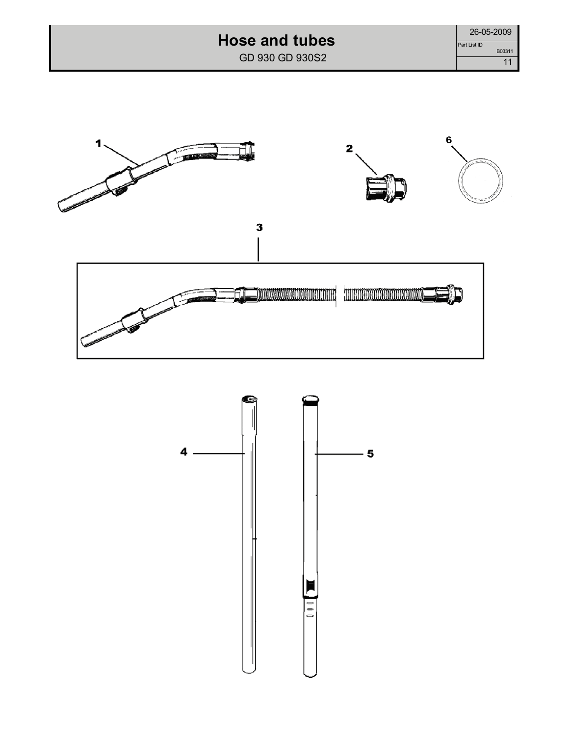### **Hose and tubes**